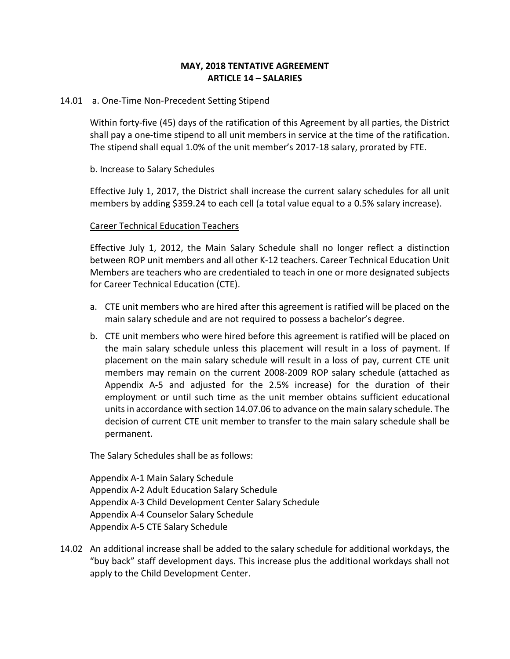## **MAY, 2018 TENTATIVE AGREEMENT ARTICLE 14 – SALARIES**

### 14.01 a. One-Time Non-Precedent Setting Stipend

Within forty-five (45) days of the ratification of this Agreement by all parties, the District shall pay a one-time stipend to all unit members in service at the time of the ratification. The stipend shall equal 1.0% of the unit member's 2017-18 salary, prorated by FTE.

## b. Increase to Salary Schedules

Effective July 1, 2017, the District shall increase the current salary schedules for all unit members by adding \$359.24 to each cell (a total value equal to a 0.5% salary increase).

### Career Technical Education Teachers

Effective July 1, 2012, the Main Salary Schedule shall no longer reflect a distinction between ROP unit members and all other K-12 teachers. Career Technical Education Unit Members are teachers who are credentialed to teach in one or more designated subjects for Career Technical Education (CTE).

- a. CTE unit members who are hired after this agreement is ratified will be placed on the main salary schedule and are not required to possess a bachelor's degree.
- b. CTE unit members who were hired before this agreement is ratified will be placed on the main salary schedule unless this placement will result in a loss of payment. If placement on the main salary schedule will result in a loss of pay, current CTE unit members may remain on the current 2008-2009 ROP salary schedule (attached as Appendix A-5 and adjusted for the  $2.5\%$  increase) for the duration of their employment or until such time as the unit member obtains sufficient educational units in accordance with section 14.07.06 to advance on the main salary schedule. The decision of current CTE unit member to transfer to the main salary schedule shall be permanent.

The Salary Schedules shall be as follows:

Appendix A-1 Main Salary Schedule Appendix A-2 Adult Education Salary Schedule Appendix A-3 Child Development Center Salary Schedule Appendix A-4 Counselor Salary Schedule Appendix A-5 CTE Salary Schedule

14.02 An additional increase shall be added to the salary schedule for additional workdays, the "buy back" staff development days. This increase plus the additional workdays shall not apply to the Child Development Center.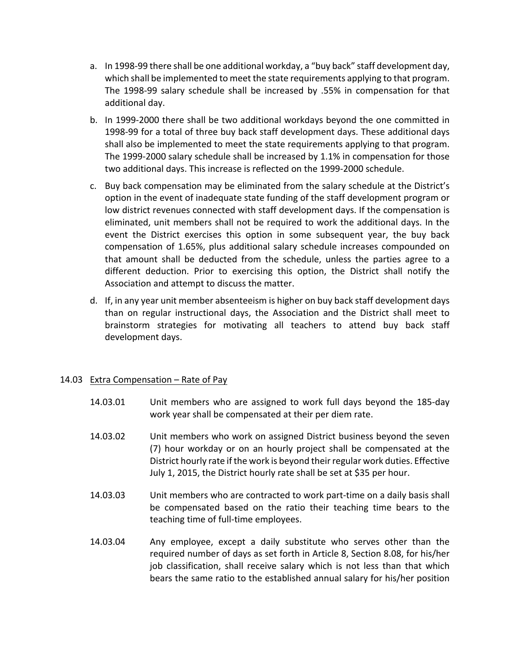- a. In 1998-99 there shall be one additional workday, a "buy back" staff development day, which shall be implemented to meet the state requirements applying to that program. The 1998-99 salary schedule shall be increased by .55% in compensation for that additional day.
- b. In 1999-2000 there shall be two additional workdays beyond the one committed in 1998-99 for a total of three buy back staff development days. These additional days shall also be implemented to meet the state requirements applying to that program. The  $1999-2000$  salary schedule shall be increased by  $1.1\%$  in compensation for those two additional days. This increase is reflected on the 1999-2000 schedule.
- c. Buy back compensation may be eliminated from the salary schedule at the District's option in the event of inadequate state funding of the staff development program or low district revenues connected with staff development days. If the compensation is eliminated, unit members shall not be required to work the additional days. In the event the District exercises this option in some subsequent year, the buy back compensation of 1.65%, plus additional salary schedule increases compounded on that amount shall be deducted from the schedule, unless the parties agree to a different deduction. Prior to exercising this option, the District shall notify the Association and attempt to discuss the matter.
- d. If, in any year unit member absenteeism is higher on buy back staff development days than on regular instructional days, the Association and the District shall meet to brainstorm strategies for motivating all teachers to attend buy back staff development days.

## 14.03 Extra Compensation  $-$  Rate of Pay

- 14.03.01 Unit members who are assigned to work full days beyond the 185-day work year shall be compensated at their per diem rate.
- 14.03.02 Unit members who work on assigned District business beyond the seven (7) hour workday or on an hourly project shall be compensated at the District hourly rate if the work is beyond their regular work duties. Effective July 1, 2015, the District hourly rate shall be set at \$35 per hour.
- 14.03.03 Unit members who are contracted to work part-time on a daily basis shall be compensated based on the ratio their teaching time bears to the teaching time of full-time employees.
- 14.03.04 Any employee, except a daily substitute who serves other than the required number of days as set forth in Article 8, Section 8.08, for his/her job classification, shall receive salary which is not less than that which bears the same ratio to the established annual salary for his/her position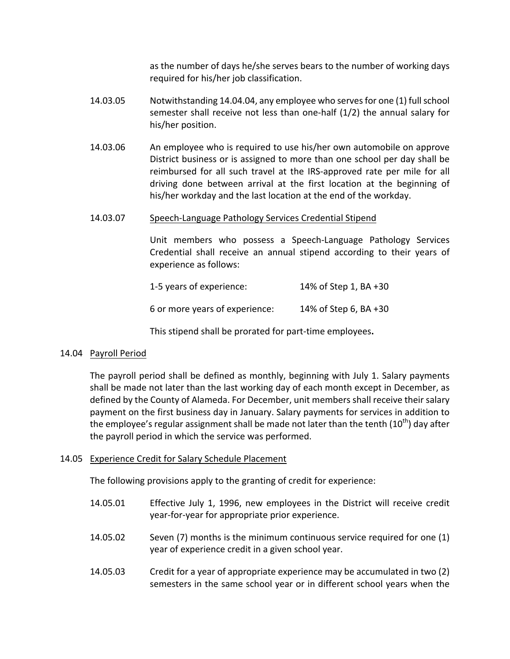as the number of days he/she serves bears to the number of working days required for his/her job classification.

- 14.03.05 Notwithstanding 14.04.04, any employee who serves for one (1) full school semester shall receive not less than one-half  $(1/2)$  the annual salary for his/her position.
- 14.03.06 An employee who is required to use his/her own automobile on approve District business or is assigned to more than one school per day shall be reimbursed for all such travel at the IRS-approved rate per mile for all driving done between arrival at the first location at the beginning of his/her workday and the last location at the end of the workday.

#### 14.03.07 Speech-Language Pathology Services Credential Stipend

Unit members who possess a Speech-Language Pathology Services Credential shall receive an annual stipend according to their years of experience as follows:

| 1-5 years of experience: | 14% of Step 1, BA +30 |
|--------------------------|-----------------------|
|                          |                       |

6 or more years of experience: 14% of Step 6, BA +30

This stipend shall be prorated for part-time employees.

## 14.04 Payroll Period

The payroll period shall be defined as monthly, beginning with July 1. Salary payments shall be made not later than the last working day of each month except in December, as defined by the County of Alameda. For December, unit members shall receive their salary payment on the first business day in January. Salary payments for services in addition to the employee's regular assignment shall be made not later than the tenth  $(10^{th})$  day after the payroll period in which the service was performed.

## 14.05 Experience Credit for Salary Schedule Placement

The following provisions apply to the granting of credit for experience:

- 14.05.01 Effective July 1, 1996, new employees in the District will receive credit year-for-year for appropriate prior experience.
- 14.05.02 Seven  $(7)$  months is the minimum continuous service required for one  $(1)$ year of experience credit in a given school year.
- 14.05.03 Credit for a year of appropriate experience may be accumulated in two (2) semesters in the same school year or in different school years when the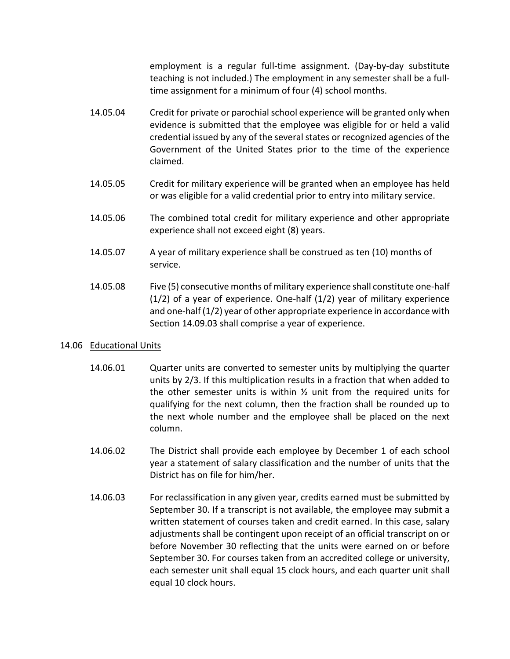employment is a regular full-time assignment. (Day-by-day substitute teaching is not included.) The employment in any semester shall be a fulltime assignment for a minimum of four (4) school months.

- 14.05.04 Credit for private or parochial school experience will be granted only when evidence is submitted that the employee was eligible for or held a valid credential issued by any of the several states or recognized agencies of the Government of the United States prior to the time of the experience claimed.
- 14.05.05 Credit for military experience will be granted when an employee has held or was eligible for a valid credential prior to entry into military service.
- 14.05.06 The combined total credit for military experience and other appropriate experience shall not exceed eight (8) years.
- 14.05.07 A year of military experience shall be construed as ten (10) months of service.
- 14.05.08 Five (5) consecutive months of military experience shall constitute one-half  $(1/2)$  of a year of experience. One-half  $(1/2)$  year of military experience and one-half  $(1/2)$  year of other appropriate experience in accordance with Section 14.09.03 shall comprise a year of experience.

## 14.06 Educational Units

- 14.06.01 Quarter units are converted to semester units by multiplying the quarter units by 2/3. If this multiplication results in a fraction that when added to the other semester units is within  $\frac{1}{2}$  unit from the required units for qualifying for the next column, then the fraction shall be rounded up to the next whole number and the employee shall be placed on the next column.
- 14.06.02 The District shall provide each employee by December 1 of each school year a statement of salary classification and the number of units that the District has on file for him/her.
- 14.06.03 For reclassification in any given year, credits earned must be submitted by September 30. If a transcript is not available, the employee may submit a written statement of courses taken and credit earned. In this case, salary adjustments shall be contingent upon receipt of an official transcript on or before November 30 reflecting that the units were earned on or before September 30. For courses taken from an accredited college or university, each semester unit shall equal 15 clock hours, and each quarter unit shall equal 10 clock hours.